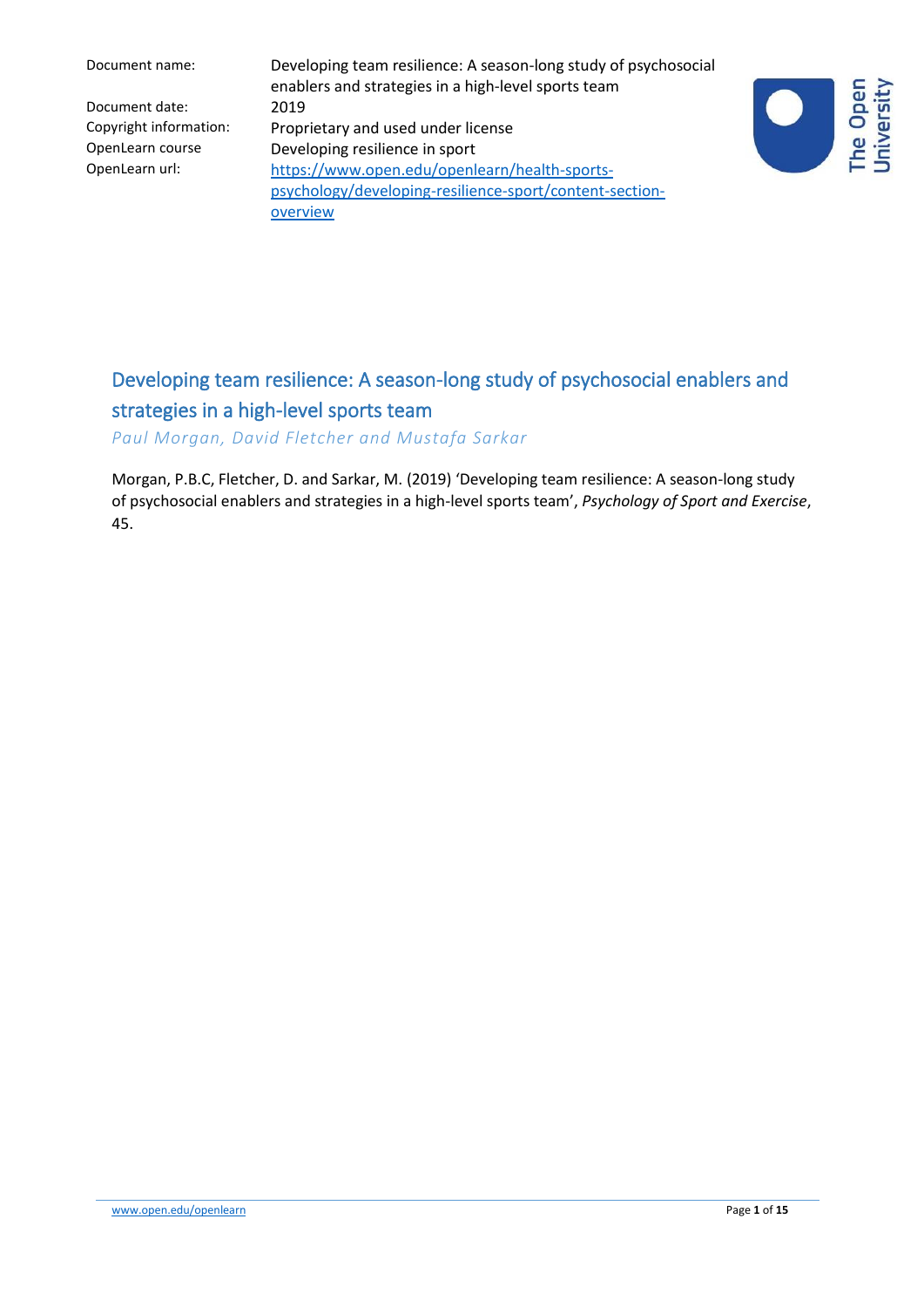Document name: Developing team resilience: A season-long study of psychosocial enablers and strategies in a high-level sports team Copyright information: Proprietary and used under license OpenLearn course Developing resilience in sport OpenLearn url: [https://www.open.edu/openlearn/health-sports](https://www.open.edu/openlearn/health-sports-psychology/developing-resilience-sport/content-section-overview)[psychology/developing-resilience-sport/content-section](https://www.open.edu/openlearn/health-sports-psychology/developing-resilience-sport/content-section-overview)[overview](https://www.open.edu/openlearn/health-sports-psychology/developing-resilience-sport/content-section-overview)



# Developing team resilience: A season-long study of psychosocial enablers and strategies in a high-level sports team

*Paul Morgan, David Fletcher and Mustafa Sarkar*

Morgan, P.B.C, Fletcher, D. and Sarkar, M. (2019) 'Developing team resilience: A season-long study of psychosocial enablers and strategies in a high-level sports team', *Psychology of Sport and Exercise*, 45.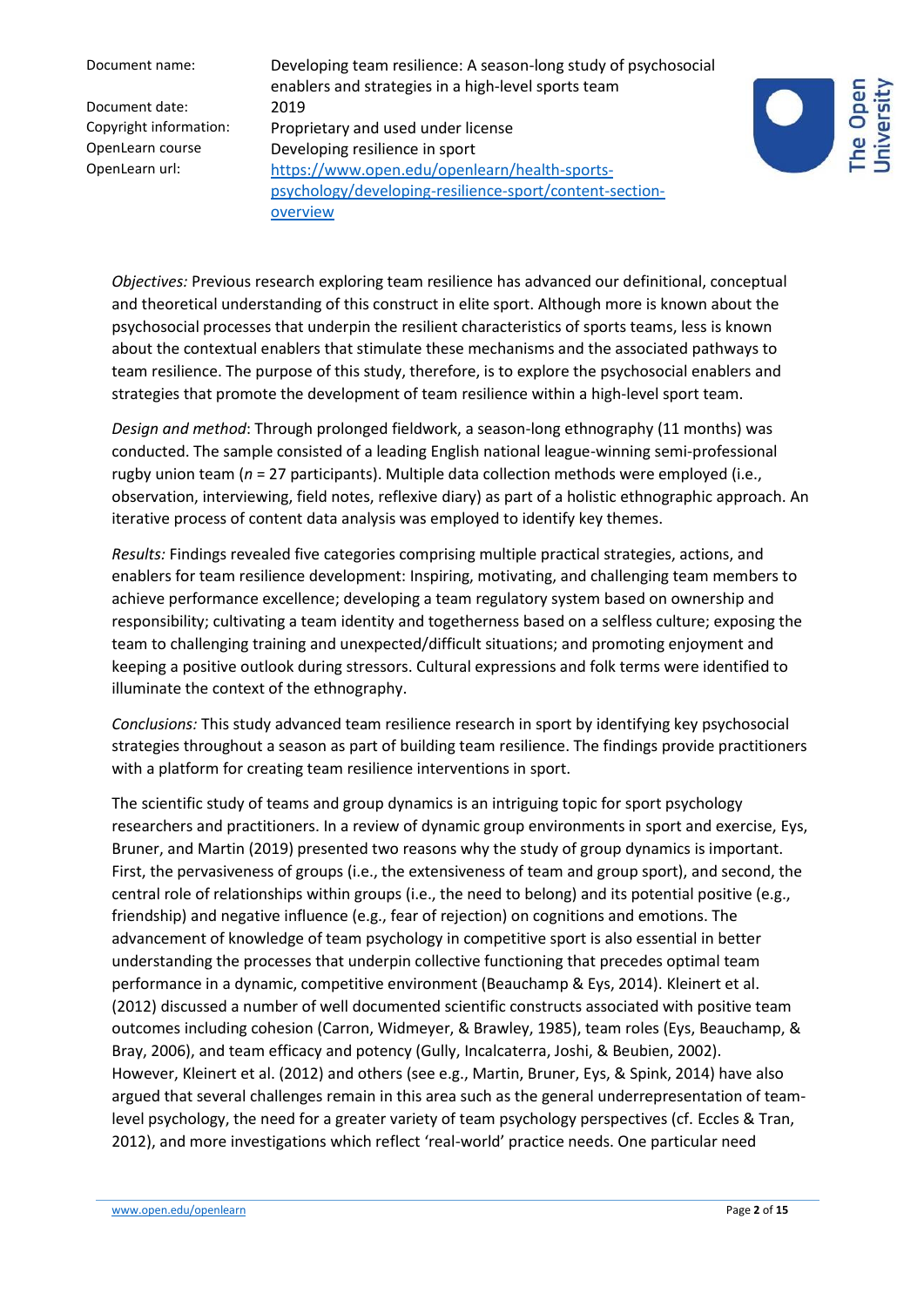Document name: Developing team resilience: A season-long study of psychosocial enablers and strategies in a high-level sports team Copyright information: Proprietary and used under license OpenLearn course Developing resilience in sport OpenLearn url: [https://www.open.edu/openlearn/health-sports](https://www.open.edu/openlearn/health-sports-psychology/developing-resilience-sport/content-section-overview)[psychology/developing-resilience-sport/content-section](https://www.open.edu/openlearn/health-sports-psychology/developing-resilience-sport/content-section-overview)[overview](https://www.open.edu/openlearn/health-sports-psychology/developing-resilience-sport/content-section-overview)



*Objectives:* Previous research exploring team resilience has advanced our definitional, conceptual and theoretical understanding of this construct in elite sport. Although more is known about the psychosocial processes that underpin the resilient characteristics of sports teams, less is known about the contextual enablers that stimulate these mechanisms and the associated pathways to team resilience. The purpose of this study, therefore, is to explore the psychosocial enablers and strategies that promote the development of team resilience within a high-level sport team.

*Design and method*: Through prolonged fieldwork, a season-long [ethnography](https://www-sciencedirect-com.libezproxy.open.ac.uk/topics/social-sciences/ethnology) (11 months) was conducted. The sample consisted of a leading English national league-winning semi-professional rugby union team (*n* = 27 participants). Multiple data collection methods were employed (i.e., observation, interviewing, field notes, reflexive diary) as part of a holistic [ethnographic approach.](https://www-sciencedirect-com.libezproxy.open.ac.uk/topics/social-sciences/ethnographic-approach) An iterative process of content data analysis was employed to identify key themes.

*Results:* Findings revealed five categories comprising multiple practical strategies, actions, and enablers for team resilience development: Inspiring, motivating, and challenging team members to achieve performance excellence; developing a team regulatory system based on ownership and responsibility; cultivating a team identity and togetherness based on a selfless culture; exposing the team to challenging training and unexpected/difficult situations; and promoting enjoyment and keeping a positive outlook during stressors. Cultural expressions and folk terms were identified to illuminate the context of the ethnography.

*Conclusions:* This study advanced team resilience research in sport by identifying key psychosocial strategies throughout a season as part of building team resilience. The findings provide practitioners with a platform for creating team resilience interventions in sport.

The scientific study of teams and group dynamics is an intriguing topic for sport psychology researchers and practitioners. In a review of dynamic group environments in sport and exercise, Eys, Bruner, and Martin (2019) presented two reasons why the study of group dynamics is important. First, the pervasiveness of groups (i.e., the extensiveness of team and group sport), and second, the central role of relationships within groups (i.e., the need to belong) and its potential positive (e.g., friendship) and negative influence (e.g., fear of rejection) on cognitions and emotions. The advancement of knowledge of team psychology in competitive sport is also essential in better understanding the processes that underpin collective functioning that precedes optimal team performance in a dynamic, competitive environment (Beauchamp & Eys, 2014). Kleinert et al. (2012) discussed a number of well documented scientific constructs associated with positive team outcomes including cohesion (Carron, Widmeyer, & Brawley, 1985), team roles (Eys, Beauchamp, & Bray, 2006), and team efficacy and potency (Gully, Incalcaterra, Joshi, & Beubien, 2002). However, Kleinert et al. (2012) and others (see e.g., Martin, Bruner, Eys, & Spink, 2014) have also argued that several challenges remain in this area such as the general underrepresentation of teamlevel psychology, the need for a greater variety of team psychology perspectives (cf. Eccles & Tran, 2012), and more investigations which reflect 'real-world' practice needs. One particular need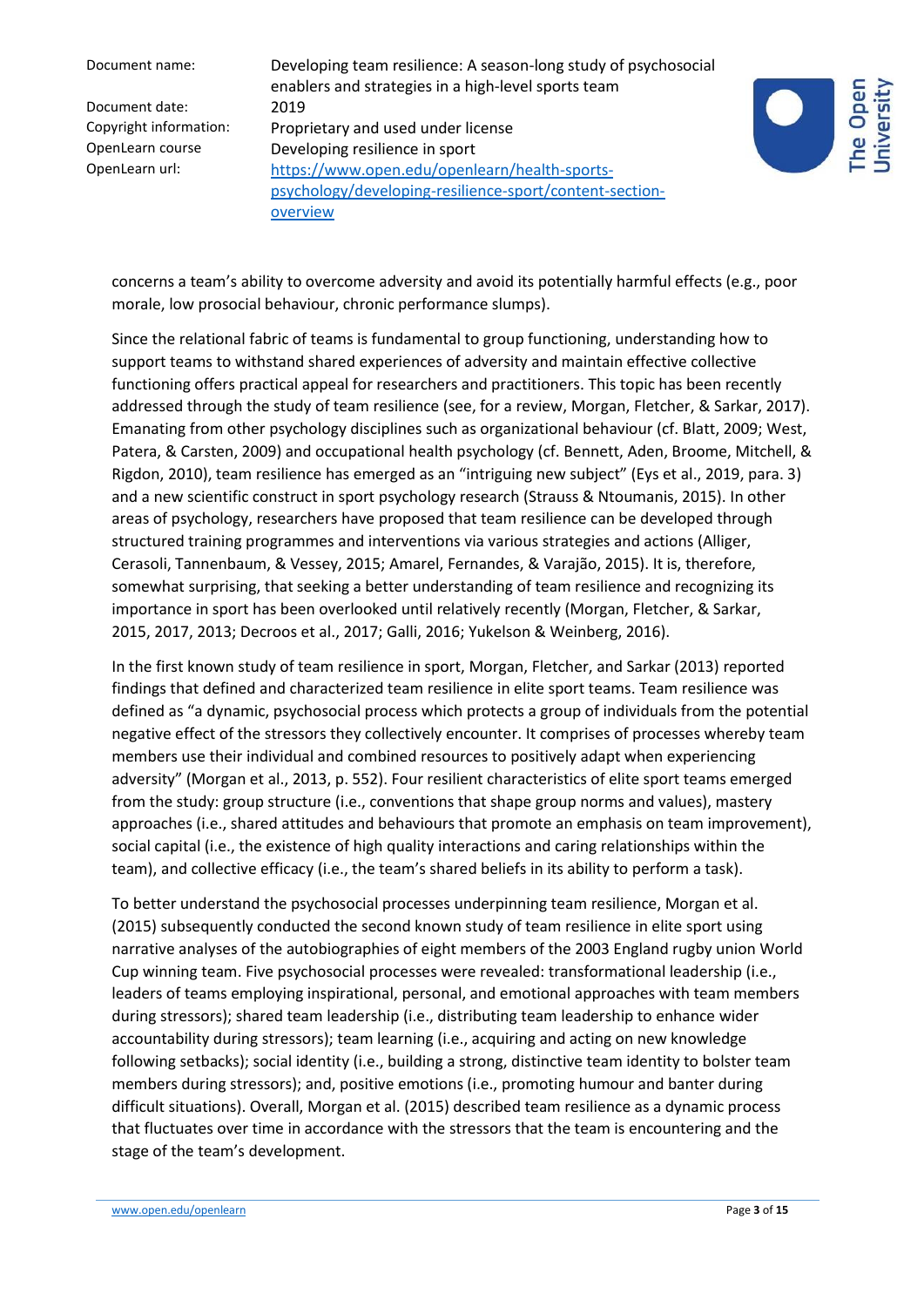Document name: Developing team resilience: A season-long study of psychosocial enablers and strategies in a high-level sports team Copyright information: Proprietary and used under license OpenLearn course Developing resilience in sport OpenLearn url: [https://www.open.edu/openlearn/health-sports](https://www.open.edu/openlearn/health-sports-psychology/developing-resilience-sport/content-section-overview)[psychology/developing-resilience-sport/content-section](https://www.open.edu/openlearn/health-sports-psychology/developing-resilience-sport/content-section-overview)[overview](https://www.open.edu/openlearn/health-sports-psychology/developing-resilience-sport/content-section-overview)



concerns a team's ability to overcome adversity and avoid its potentially harmful effects (e.g., poor morale, low [prosocial behaviour,](https://www-sciencedirect-com.libezproxy.open.ac.uk/topics/psychology/prosocial-behavior) chronic performance slumps).

Since the relational fabric of teams is fundamental to group functioning, understanding how to support teams to withstand shared experiences of adversity and maintain effective collective functioning offers practical appeal for researchers and practitioners. This topic has been recently addressed through the study of team resilience (see, for a review, Morgan, Fletcher, & Sarkar, 2017). Emanating from other psychology disciplines such as organizational behaviour (cf. Blatt, 2009; West, Patera, & Carsten, 2009) and occupational health psychology (cf. Bennett, Aden, Broome, Mitchell, & Rigdon, 2010), team resilience has emerged as an "intriguing new subject" (Eys et al., 2019, para. 3) and a new scientific construct in sport psychology research (Strauss & Ntoumanis, 2015). In other areas of psychology, researchers have proposed that team resilience can be developed through structured training programmes and interventions via various strategies and actions (Alliger, Cerasoli, Tannenbaum, & Vessey, 2015; Amarel, Fernandes, & Varajão, 2015). It is, therefore, somewhat surprising, that seeking a better understanding of team resilience and recognizing its importance in sport has been overlooked until relatively recently (Morgan, Fletcher, & Sarkar, 2015, 2017, 2013; Decroos et al., 2017; Galli, 2016; Yukelson & Weinberg, 2016).

In the first known study of team resilience in sport, Morgan, Fletcher, and Sarkar (2013) reported findings that defined and characterized team resilience in elite sport teams. Team resilience was defined as "a dynamic, psychosocial process which protects a group of individuals from the potential negative effect of the stressors they collectively encounter. It comprises of processes whereby team members use their individual and combined resources to positively adapt when experiencing adversity" (Morgan et al., 2013, p. 552). Four resilient characteristics of elite sport teams emerged from the study: group structure (i.e., conventions that shape group norms and values), mastery approaches (i.e., shared attitudes and behaviours that promote an emphasis on team improvement), social capital (i.e., the existence of high quality interactions and caring relationships within the team), and [collective efficacy](https://www-sciencedirect-com.libezproxy.open.ac.uk/topics/psychology/collective-efficacy) (i.e., the team's shared beliefs in its ability to perform a task).

To better understand the psychosocial processes underpinning team resilience, Morgan et al. (2015) subsequently conducted the second known study of team resilience in elite sport using narrative analyses of the autobiographies of eight members of the 2003 England rugby union World Cup winning team. Five psychosocial processes were revealed: transformational leadership (i.e., leaders of teams employing inspirational, personal, and emotional approaches with team members during stressors); shared team leadership (i.e., distributing team leadership to enhance wider accountability during stressors); team learning (i.e., acquiring and acting on new knowledge following setbacks); social identity (i.e., building a strong, distinctive team identity to bolster team members during stressors); and, positive emotions (i.e., promoting humour and banter during difficult situations). Overall, Morgan et al. (2015) described team resilience as a dynamic process that fluctuates over time in accordance with the stressors that the team is encountering and the stage of the team's development.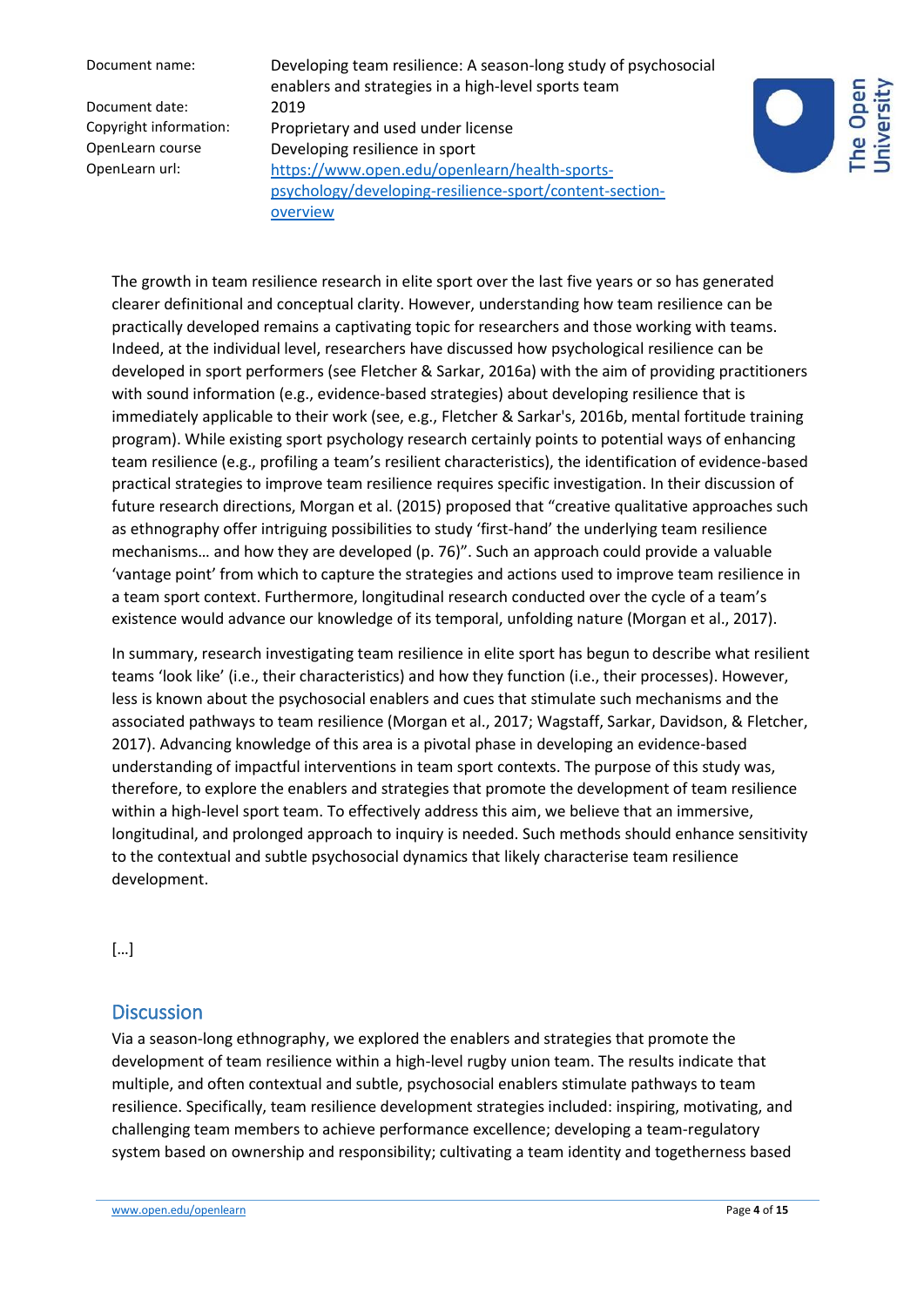Document name: Developing team resilience: A season-long study of psychosocial enablers and strategies in a high-level sports team Copyright information: Proprietary and used under license OpenLearn course Developing resilience in sport OpenLearn url: [https://www.open.edu/openlearn/health-sports](https://www.open.edu/openlearn/health-sports-psychology/developing-resilience-sport/content-section-overview)[psychology/developing-resilience-sport/content-section](https://www.open.edu/openlearn/health-sports-psychology/developing-resilience-sport/content-section-overview)[overview](https://www.open.edu/openlearn/health-sports-psychology/developing-resilience-sport/content-section-overview)



The growth in team resilience research in elite sport over the last five years or so has generated clearer definitional and conceptual clarity. However, understanding how team resilience can be practically developed remains a captivating topic for researchers and those working with teams. Indeed, at the individual level, researchers have discussed how [psychological resilience](https://www-sciencedirect-com.libezproxy.open.ac.uk/topics/psychology/psychological-resilience) can be developed in sport performers (see Fletcher & Sarkar, 2016a) with the aim of providing practitioners with sound information (e.g., evidence-based strategies) about developing resilience that is immediately applicable to their work (see, e.g., Fletcher & Sarkar's, 2016b, mental fortitude training program). While existing sport psychology research certainly points to potential ways of enhancing team resilience (e.g., profiling a team's resilient characteristics), the identification of evidence-based practical strategies to improve team resilience requires specific investigation. In their discussion of future research directions, Morgan et al. (2015) proposed that "creative qualitative approaches such as [ethnography](https://www-sciencedirect-com.libezproxy.open.ac.uk/topics/social-sciences/ethnology) offer intriguing possibilities to study 'first-hand' the underlying team resilience mechanisms… and how they are developed (p. 76)". Such an approach could provide a valuable 'vantage point' from which to capture the strategies and actions used to improve team resilience in a team sport context. Furthermore, longitudinal research conducted over the cycle of a team's existence would advance our knowledge of its temporal, unfolding nature (Morgan et al., 2017).

In summary, research investigating team resilience in elite sport has begun to describe what resilient teams 'look like' (i.e., their characteristics) and how they function (i.e., their processes). However, less is known about the psychosocial enablers and cues that stimulate such mechanisms and the associated pathways to team resilience (Morgan et al., 2017; Wagstaff, Sarkar, Davidson, & Fletcher, 2017). Advancing knowledge of this area is a pivotal phase in developing an evidence-based understanding of impactful interventions in team sport contexts. The purpose of this study was, therefore, to explore the enablers and strategies that promote the development of team resilience within a high-level sport team. To effectively address this aim, we believe that an immersive, longitudinal, and prolonged approach to inquiry is needed. Such methods should enhance sensitivity to the contextual and subtle psychosocial dynamics that likely characterise team resilience development.

[…]

#### **Discussion**

Via a season-long [ethnography,](https://www-sciencedirect-com.libezproxy.open.ac.uk/topics/social-sciences/ethnology) we explored the enablers and strategies that promote the development of team resilience within a high-level rugby union team. The results indicate that multiple, and often contextual and subtle, psychosocial enablers stimulate pathways to team resilience. Specifically, team resilience development strategies included: inspiring, motivating, and challenging team members to achieve performance excellence; developing a team-regulatory system based on ownership and responsibility; cultivating a team identity and togetherness based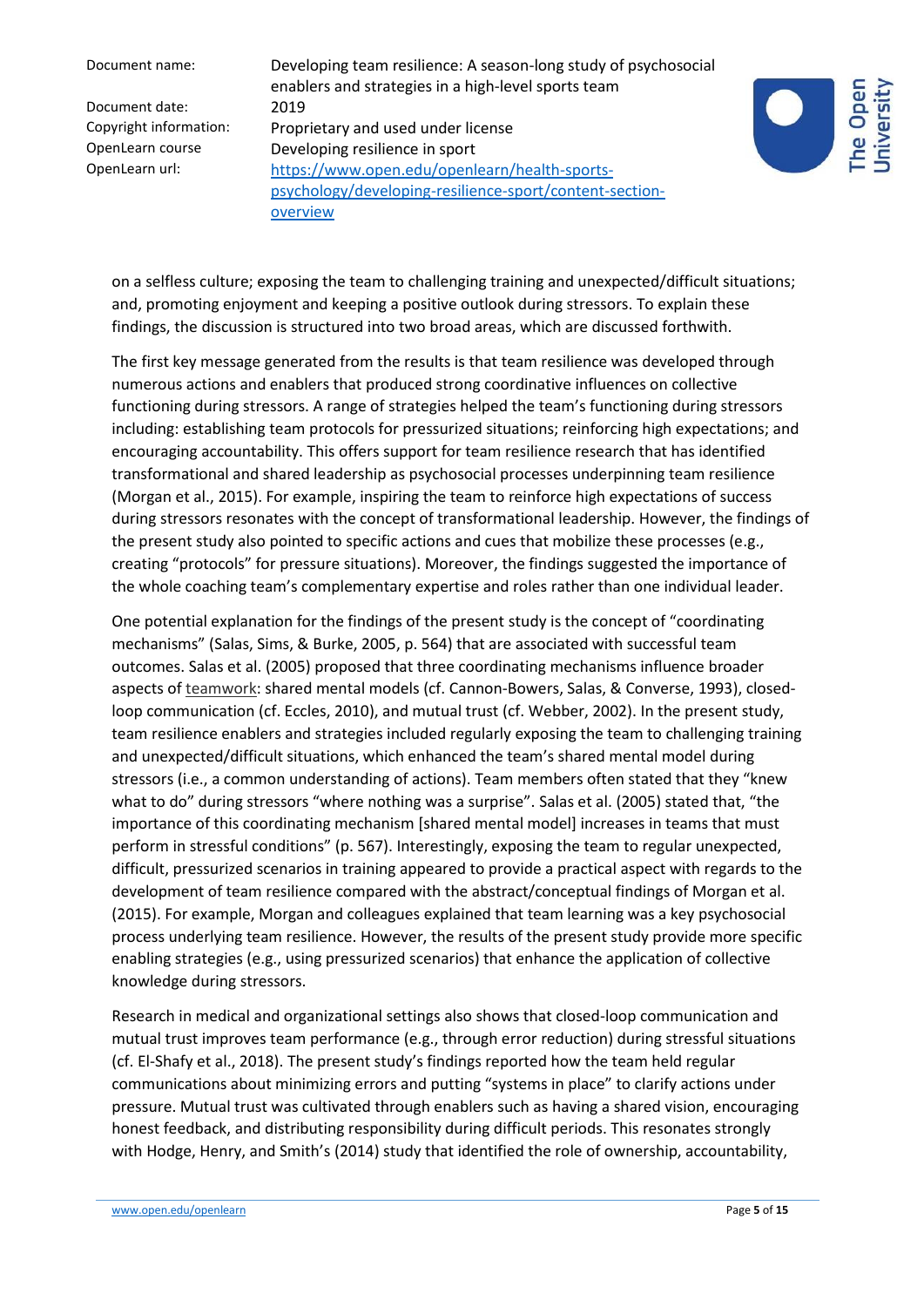Document name: Developing team resilience: A season-long study of psychosocial enablers and strategies in a high-level sports team Copyright information: Proprietary and used under license OpenLearn course Developing resilience in sport OpenLearn url: [https://www.open.edu/openlearn/health-sports](https://www.open.edu/openlearn/health-sports-psychology/developing-resilience-sport/content-section-overview)[psychology/developing-resilience-sport/content-section](https://www.open.edu/openlearn/health-sports-psychology/developing-resilience-sport/content-section-overview)[overview](https://www.open.edu/openlearn/health-sports-psychology/developing-resilience-sport/content-section-overview)



on a selfless culture; exposing the team to challenging training and unexpected/difficult situations; and, promoting enjoyment and keeping a positive outlook during stressors. To explain these findings, the discussion is structured into two broad areas, which are discussed forthwith.

The first key message generated from the results is that team resilience was developed through numerous actions and enablers that produced strong coordinative influences on collective functioning during stressors. A range of strategies helped the team's functioning during stressors including: establishing team protocols for pressurized situations; reinforcing high expectations; and encouraging accountability. This offers support for team resilience research that has identified transformational and shared leadership as psychosocial processes underpinning team resilience (Morgan et al., 2015). For example, inspiring the team to reinforce high expectations of success during stressors resonates with the concept of transformational leadership. However, the findings of the present study also pointed to specific actions and cues that mobilize these processes (e.g., creating "protocols" for pressure situations). Moreover, the findings suggested the importance of the whole coaching team's complementary expertise and roles rather than one individual leader.

One potential explanation for the findings of the present study is the concept of "coordinating mechanisms" (Salas, Sims, & Burke, 2005, p. 564) that are associated with successful team outcomes. Salas et al. (2005) proposed that three coordinating mechanisms influence broader aspects of [teamwork:](https://www-sciencedirect-com.libezproxy.open.ac.uk/topics/medicine-and-dentistry/teamwork) shared mental models (cf. Cannon-Bowers, Salas, & Converse, 1993), closedloop communication (cf. Eccles, 2010), and mutual trust (cf. Webber, 2002). In the present study, team resilience enablers and strategies included regularly exposing the team to challenging training and unexpected/difficult situations, which enhanced the team's shared mental model during stressors (i.e., a common understanding of actions). Team members often stated that they "knew what to do" during stressors "where nothing was a surprise". Salas et al. (2005) stated that, "the importance of this coordinating mechanism [shared mental model] increases in teams that must perform in stressful conditions" (p. 567). Interestingly, exposing the team to regular unexpected, difficult, pressurized scenarios in training appeared to provide a practical aspect with regards to the development of team resilience compared with the abstract/conceptual findings of Morgan et al. (2015). For example, Morgan and colleagues explained that team learning was a key psychosocial process underlying team resilience. However, the results of the present study provide more specific enabling strategies (e.g., using pressurized scenarios) that enhance the application of collective knowledge during stressors.

Research in medical and organizational settings also shows that closed-loop communication and mutual trust improves team performance (e.g., through error reduction) during stressful situations (cf. El-Shafy et al., 2018). The present study's findings reported how the team held regular communications about minimizing errors and putting "systems in place" to clarify actions under pressure. Mutual trust was cultivated through enablers such as having a shared vision, encouraging honest feedback, and distributing responsibility during difficult periods. This resonates strongly with Hodge, Henry, and Smith's (2014) study that identified the role of ownership, accountability,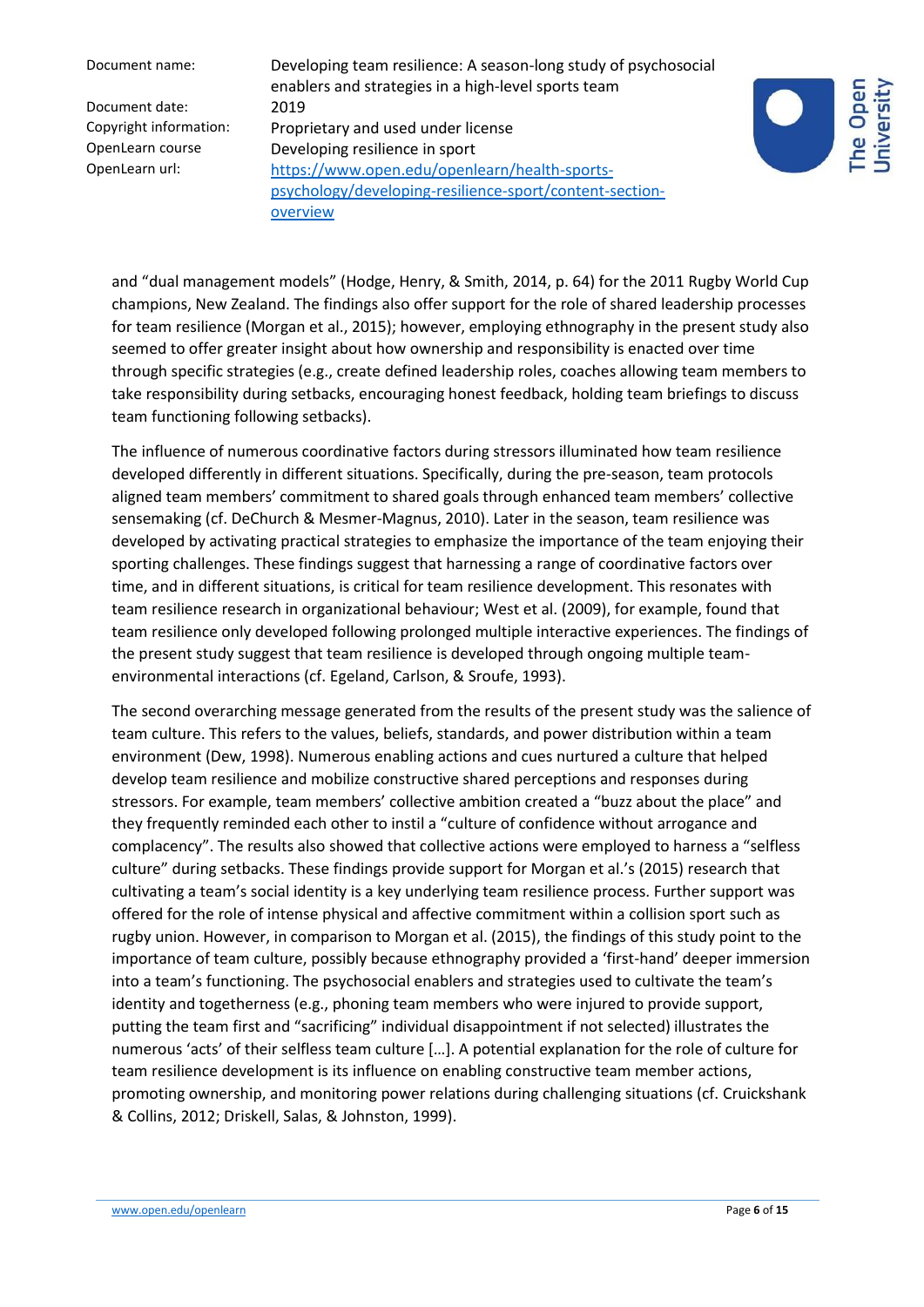Document name: Developing team resilience: A season-long study of psychosocial enablers and strategies in a high-level sports team Copyright information: Proprietary and used under license OpenLearn course Developing resilience in sport OpenLearn url: [https://www.open.edu/openlearn/health-sports](https://www.open.edu/openlearn/health-sports-psychology/developing-resilience-sport/content-section-overview)[psychology/developing-resilience-sport/content-section](https://www.open.edu/openlearn/health-sports-psychology/developing-resilience-sport/content-section-overview)[overview](https://www.open.edu/openlearn/health-sports-psychology/developing-resilience-sport/content-section-overview)



and "dual management models" (Hodge, Henry, & Smith, 2014, p. 64) for the 2011 Rugby World Cup champions, New Zealand. The findings also offer support for the role of shared leadership processes for team resilience (Morgan et al., 2015); however, employing ethnography in the present study also seemed to offer greater insight about how ownership and responsibility is enacted over time through specific strategies (e.g., create defined leadership roles, coaches allowing team members to take responsibility during setbacks, encouraging honest feedback, holding team briefings to discuss team functioning following setbacks).

The influence of numerous coordinative factors during stressors illuminated how team resilience developed differently in different situations. Specifically, during the pre-season, team protocols aligned team members' commitment to shared goals through enhanced team members' collective sensemaking (cf. DeChurch & Mesmer-Magnus, 2010). Later in the season, team resilience was developed by activating practical strategies to emphasize the importance of the team enjoying their sporting challenges. These findings suggest that harnessing a range of coordinative factors over time, and in different situations, is critical for team resilience development. This resonates with team resilience research in organizational behaviour; West et al. (2009), for example, found that team resilience only developed following prolonged multiple interactive experiences. The findings of the present study suggest that team resilience is developed through ongoing multiple teamenvironmental interactions (cf. Egeland, Carlson, & Sroufe, 1993).

The second overarching message generated from the results of the present study was the salience of team culture. This refers to the values, beliefs, standards, and power distribution within a team environment (Dew, 1998). Numerous enabling actions and cues nurtured a culture that helped develop team resilience and mobilize constructive shared perceptions and responses during stressors. For example, team members' collective ambition created a "buzz about the place" and they frequently reminded each other to instil a "culture of confidence without arrogance and complacency". The results also showed that collective actions were employed to harness a "selfless culture" during setbacks. These findings provide support for Morgan et al.'s (2015) research that cultivating a team's social identity is a key underlying team resilience process. Further support was offered for the role of intense physical and affective commitment within a collision sport such as rugby union. However, in comparison to Morgan et al. (2015), the findings of this study point to the importance of team culture, possibly because ethnography provided a 'first-hand' deeper immersion into a team's functioning. The psychosocial enablers and strategies used to cultivate the team's identity and togetherness (e.g., phoning team members who were injured to provide support, putting the team first and "sacrificing" individual disappointment if not selected) illustrates the numerous 'acts' of their selfless team culture […]. A potential explanation for the role of culture for team resilience development is its influence on enabling constructive team member actions, promoting ownership, and monitoring power relations during challenging situations (cf. Cruickshank & Collins, 2012; Driskell, Salas, & Johnston, 1999).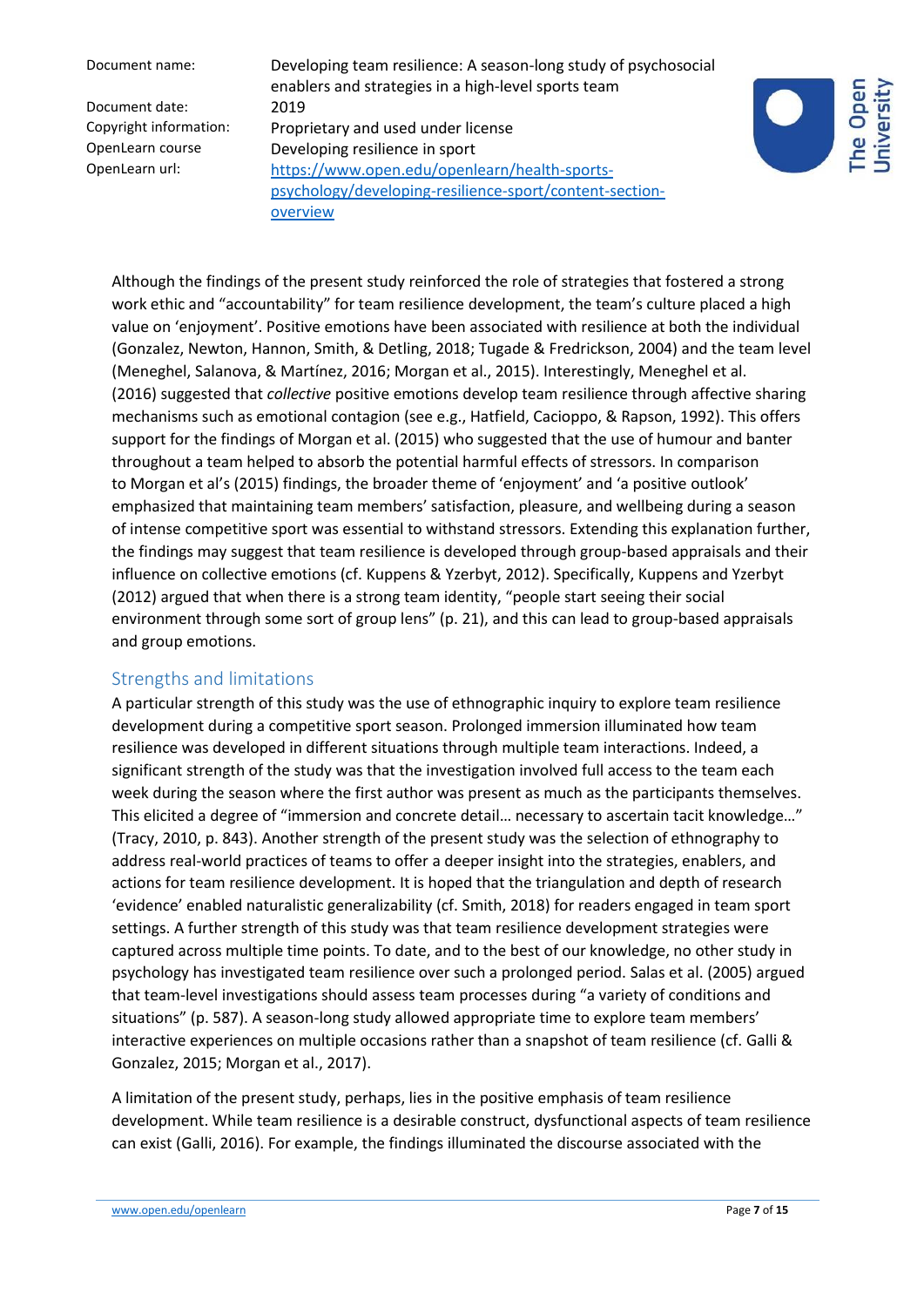Document name: Developing team resilience: A season-long study of psychosocial enablers and strategies in a high-level sports team Copyright information: Proprietary and used under license OpenLearn course Developing resilience in sport OpenLearn url: [https://www.open.edu/openlearn/health-sports](https://www.open.edu/openlearn/health-sports-psychology/developing-resilience-sport/content-section-overview)[psychology/developing-resilience-sport/content-section](https://www.open.edu/openlearn/health-sports-psychology/developing-resilience-sport/content-section-overview)[overview](https://www.open.edu/openlearn/health-sports-psychology/developing-resilience-sport/content-section-overview)



Although the findings of the present study reinforced the role of strategies that fostered a strong work ethic and "accountability" for team resilience development, the team's culture placed a high value on 'enjoyment'. Positive emotions have been associated with resilience at both the individual (Gonzalez, Newton, Hannon, Smith, & Detling, 2018; Tugade & Fredrickson, 2004) and the team level (Meneghel, Salanova, & Martínez, 2016; Morgan et al., 2015). Interestingly, Meneghel et al. (2016) suggested that *collective* positive emotions develop team resilience through affective sharing mechanisms such as [emotional](https://www-sciencedirect-com.libezproxy.open.ac.uk/topics/psychology/emotional-contagion) contagion (see e.g., Hatfield, Cacioppo, & Rapson, 1992). This offers support for the findings of Morgan et al. (2015) who suggested that the use of humour and banter throughout a team helped to absorb the potential harmful effects of stressors. In comparison to Morgan et al's (2015) findings, the broader theme of 'enjoyment' and 'a positive outlook' emphasized that maintaining team members' satisfaction, pleasure, and wellbeing during a season of intense competitive sport was essential to withstand stressors. Extending this explanation further, the findings may suggest that team resilience is developed through group-based appraisals and their influence on collective emotions (cf. Kuppens & Yzerbyt, 2012). Specifically, Kuppens and Yzerbyt (2012) argued that when there is a strong team identity, "people start seeing their social environment through some sort of group lens" (p. 21), and this can lead to group-based appraisals and group emotions.

## Strengths and limitations

A particular strength of this study was the use of ethnographic inquiry to explore team resilience development during a competitive sport season. Prolonged immersion illuminated how team resilience was developed in different situations through multiple team interactions. Indeed, a significant strength of the study was that the investigation involved full access to the team each week during the season where the first author was present as much as the participants themselves. This elicited a degree of "immersion and concrete detail… necessary to ascertain tacit knowledge…" (Tracy, 2010, p. 843). Another strength of the present study was the selection of ethnography to address real-world practices of teams to offer a deeper insight into the strategies, enablers, and actions for team resilience development. It is hoped that the triangulation and depth of research 'evidence' enabled naturalistic generalizability (cf. Smith, 2018) for readers engaged in team sport settings. A further strength of this study was that team resilience development strategies were captured across multiple time points. To date, and to the best of our knowledge, no other study in psychology has investigated team resilience over such a prolonged period. Salas et al. (2005) argued that team-level investigations should assess team processes during "a variety of conditions and situations" (p. 587). A season-long study allowed appropriate time to explore team members' interactive experiences on multiple occasions rather than a snapshot of team resilience (cf. Galli & Gonzalez, 2015; Morgan et al., 2017).

A limitation of the present study, perhaps, lies in the positive emphasis of team resilience development. While team resilience is a desirable construct, dysfunctional aspects of team resilience can exist (Galli, 2016). For example, the findings illuminated the discourse associated with the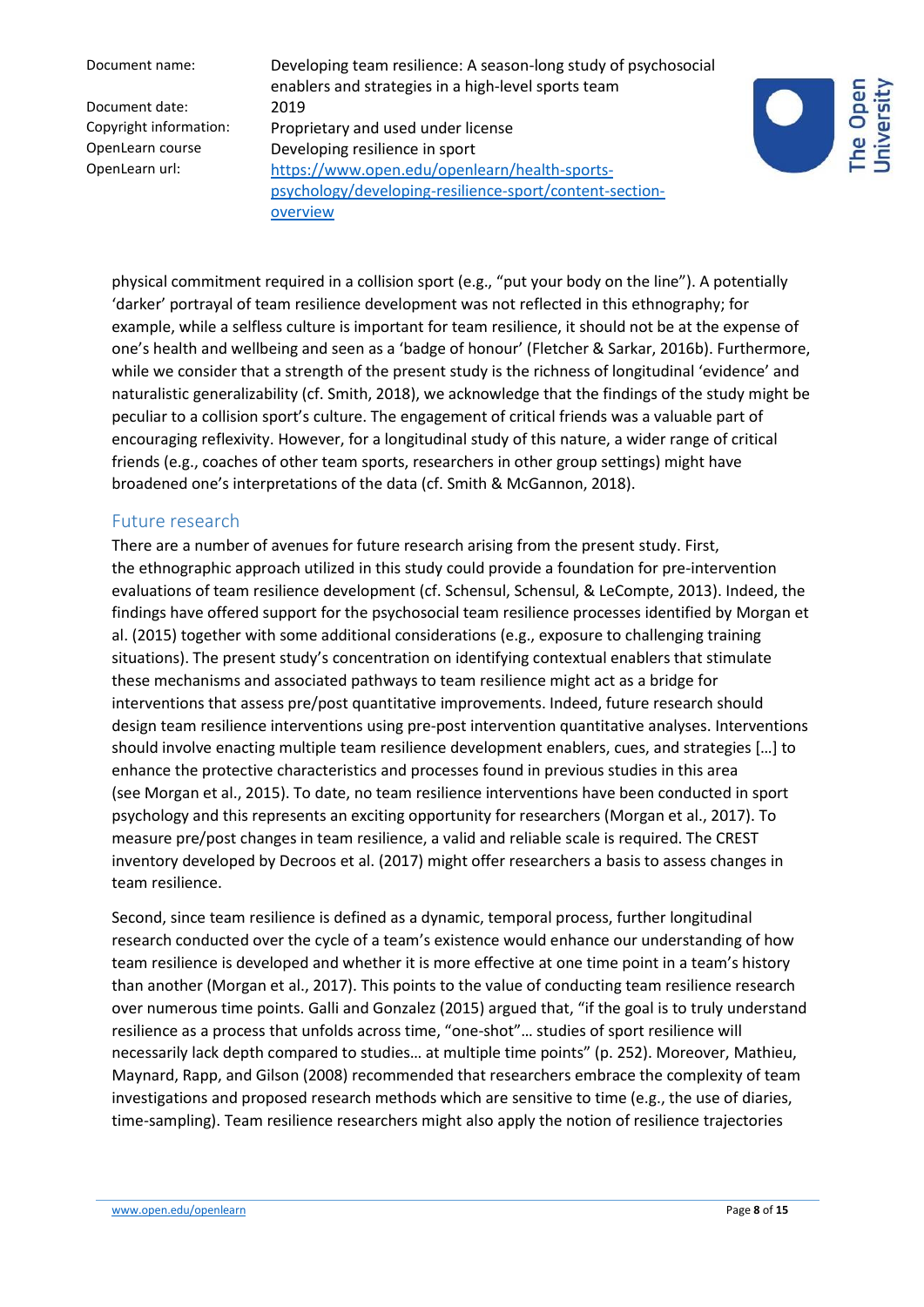Document name: Developing team resilience: A season-long study of psychosocial enablers and strategies in a high-level sports team Copyright information: Proprietary and used under license OpenLearn course Developing resilience in sport OpenLearn url: [https://www.open.edu/openlearn/health-sports](https://www.open.edu/openlearn/health-sports-psychology/developing-resilience-sport/content-section-overview)[psychology/developing-resilience-sport/content-section](https://www.open.edu/openlearn/health-sports-psychology/developing-resilience-sport/content-section-overview)[overview](https://www.open.edu/openlearn/health-sports-psychology/developing-resilience-sport/content-section-overview)



physical commitment required in a collision sport (e.g., "put your body on the line"). A potentially 'darker' portrayal of team resilience development was not reflected in this ethnography; for example, while a selfless culture is important for team resilience, it should not be at the expense of one's health and wellbeing and seen as a 'badge of honour' (Fletcher & Sarkar, 2016b). Furthermore, while we consider that a strength of the present study is the richness of longitudinal 'evidence' and naturalistic generalizability (cf. Smith, 2018), we acknowledge that the findings of the study might be peculiar to a collision sport's culture. The engagement of critical friends was a valuable part of encouraging reflexivity. However, for a longitudinal study of this nature, a wider range of critical friends (e.g., coaches of other team sports, researchers in other group settings) might have broadened one's interpretations of the data (cf. Smith & McGannon, 2018).

#### Future research

There are a number of avenues for future research arising from the present study. First, the [ethnographic approach](https://www-sciencedirect-com.libezproxy.open.ac.uk/topics/social-sciences/ethnographic-approach) utilized in this study could provide a foundation for pre-intervention evaluations of team resilience development (cf. Schensul, Schensul, & LeCompte, 2013). Indeed, the findings have offered support for the psychosocial team resilience processes identified by Morgan et al. (2015) together with some additional considerations (e.g., exposure to challenging training situations). The present study's concentration on identifying contextual enablers that stimulate these mechanisms and associated pathways to team resilience might act as a bridge for interventions that assess pre/post quantitative improvements. Indeed, future research should design team resilience interventions using pre-post intervention quantitative analyses. Interventions should involve enacting multiple team resilience development enablers, cues, and strategies […] to enhance the protective characteristics and processes found in previous studies in this area (see Morgan et al., 2015). To date, no team resilience interventions have been conducted in sport psychology and this represents an exciting opportunity for researchers (Morgan et al., 2017). To measure pre/post changes in team resilience, a valid and reliable scale is required. The CREST inventory developed by Decroos et al. (2017) might offer researchers a basis to assess changes in team resilience.

Second, since team resilience is defined as a dynamic, temporal process, further longitudinal research conducted over the cycle of a team's existence would enhance our understanding of how team resilience is developed and whether it is more effective at one time point in a team's history than another (Morgan et al., 2017). This points to the value of conducting team resilience research over numerous time points. Galli and Gonzalez (2015) argued that, "if the goal is to truly understand resilience as a process that unfolds across time, "one-shot"… studies of sport resilience will necessarily lack depth compared to studies… at multiple time points" (p. 252). Moreover, Mathieu, Maynard, Rapp, and Gilson (2008) recommended that researchers embrace the complexity of team investigations and proposed research methods which are sensitive to time (e.g., the use of diaries, time-sampling). Team resilience researchers might also apply the notion of resilience trajectories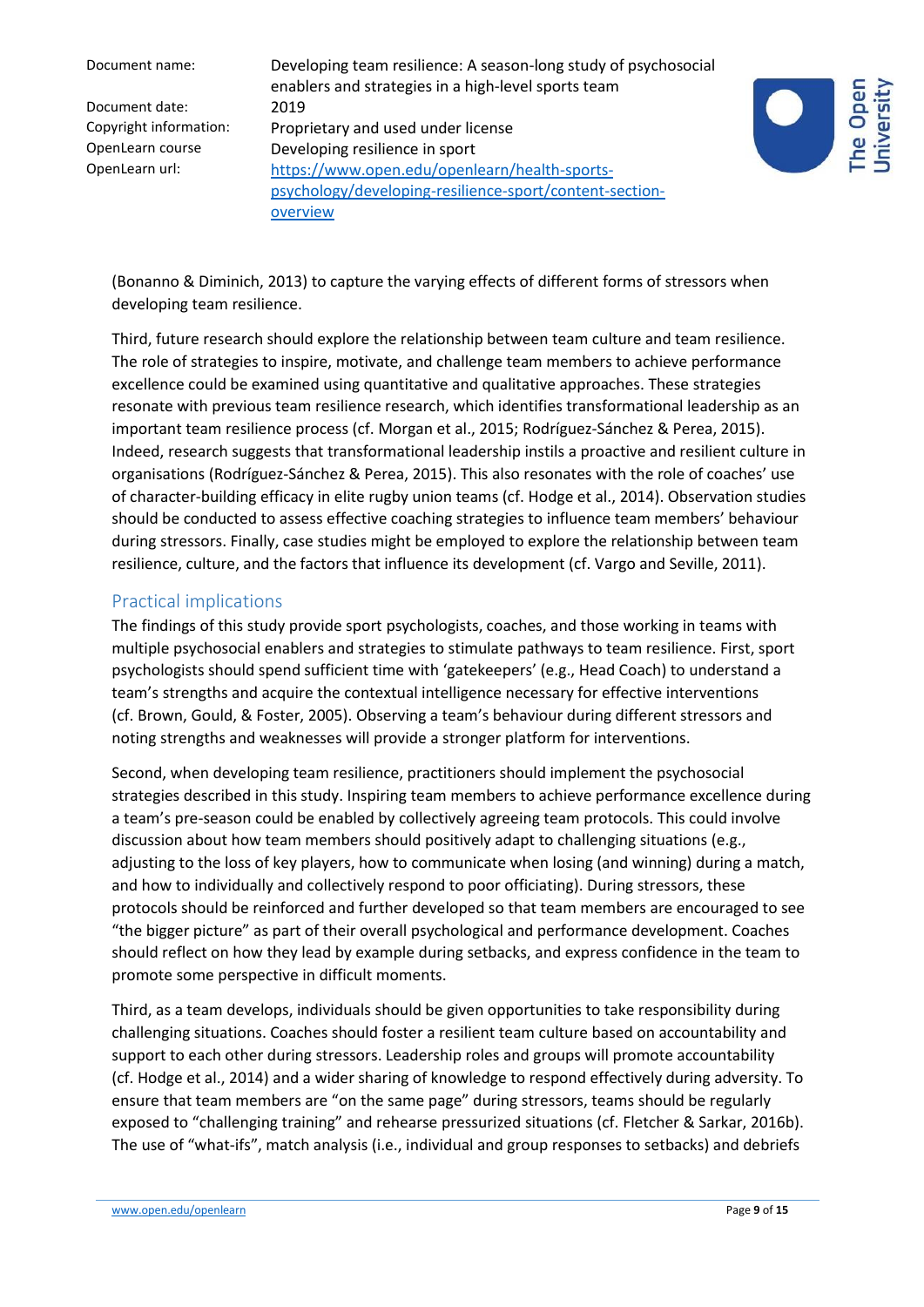Document name: Developing team resilience: A season-long study of psychosocial enablers and strategies in a high-level sports team Copyright information: Proprietary and used under license OpenLearn course Developing resilience in sport OpenLearn url: [https://www.open.edu/openlearn/health-sports](https://www.open.edu/openlearn/health-sports-psychology/developing-resilience-sport/content-section-overview)[psychology/developing-resilience-sport/content-section](https://www.open.edu/openlearn/health-sports-psychology/developing-resilience-sport/content-section-overview)[overview](https://www.open.edu/openlearn/health-sports-psychology/developing-resilience-sport/content-section-overview)



(Bonanno & Diminich, 2013) to capture the varying effects of different forms of stressors when developing team resilience.

Third, future research should explore the relationship between team culture and team resilience. The role of strategies to inspire, motivate, and challenge team members to achieve performance excellence could be examined using quantitative and qualitative approaches. These strategies resonate with previous team resilience research, which identifies transformational leadership as an important team resilience process (cf. Morgan et al., 2015; Rodríguez-Sánchez & Perea, 2015). Indeed, research suggests that transformational leadership instils a proactive and resilient culture in organisations (Rodríguez-Sánchez & Perea, 2015). This also resonates with the role of coaches' use of character-building efficacy in elite rugby union teams (cf. Hodge et al., 2014). Observation studies should be conducted to assess effective coaching strategies to influence team members' behaviour during stressors. Finally, case studies might be employed to explore the relationship between team resilience, culture, and the factors that influence its development (cf. Vargo and Seville, 2011).

#### Practical implications

The findings of this study provide sport [psychologists,](https://www-sciencedirect-com.libezproxy.open.ac.uk/topics/psychology/psychologists) coaches, and those working in teams with multiple psychosocial enablers and strategies to stimulate pathways to team resilience. First, sport psychologists should spend sufficient time with 'gatekeepers' (e.g., Head Coach) to understand a team's strengths and acquire the contextual intelligence necessary for effective interventions (cf. Brown, Gould, & Foster, 2005). Observing a team's behaviour during different stressors and noting strengths and weaknesses will provide a stronger platform for interventions.

Second, when developing team resilience, practitioners should implement the psychosocial strategies described in this study. Inspiring team members to achieve performance excellence during a team's pre-season could be enabled by collectively agreeing team protocols. This could involve discussion about how team members should positively adapt to challenging situations (e.g., adjusting to the loss of key players, how to communicate when losing (and winning) during a match, and how to individually and collectively respond to poor officiating). During stressors, these protocols should be reinforced and further developed so that team members are encouraged to see "the bigger picture" as part of their overall psychological and performance development. Coaches should reflect on how they lead by example during setbacks, and express confidence in the team to promote some perspective in difficult moments.

Third, as a team develops, individuals should be given opportunities to take responsibility during challenging situations. Coaches should foster a resilient team culture based on accountability and support to each other during stressors. Leadership roles and groups will promote accountability (cf. Hodge et al., 2014) and a wider sharing of knowledge to respond effectively during adversity. To ensure that team members are "on the same page" during stressors, teams should be regularly exposed to "challenging training" and rehearse pressurized situations (cf. Fletcher & Sarkar, 2016b). The use of "what-ifs", match analysis (i.e., individual and group responses to setbacks) and debriefs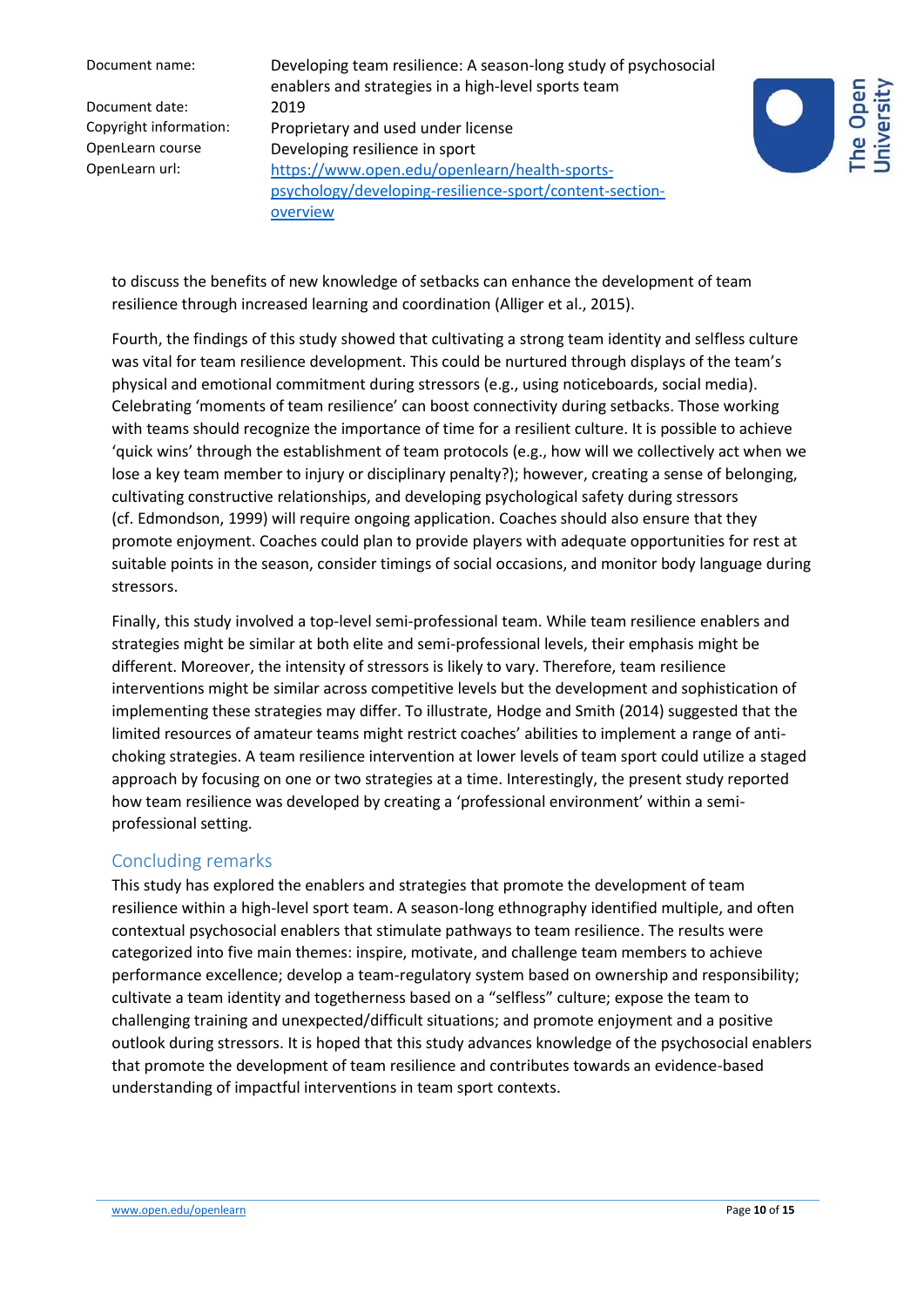Document name: Developing team resilience: A season-long study of psychosocial enablers and strategies in a high-level sports team Copyright information: Proprietary and used under license OpenLearn course Developing resilience in sport OpenLearn url: [https://www.open.edu/openlearn/health-sports](https://www.open.edu/openlearn/health-sports-psychology/developing-resilience-sport/content-section-overview)[psychology/developing-resilience-sport/content-section](https://www.open.edu/openlearn/health-sports-psychology/developing-resilience-sport/content-section-overview)[overview](https://www.open.edu/openlearn/health-sports-psychology/developing-resilience-sport/content-section-overview)



to discuss the benefits of new knowledge of setbacks can enhance the development of team resilience through increased learning and coordination (Alliger et al., 2015).

Fourth, the findings of this study showed that cultivating a strong team identity and selfless culture was vital for team resilience development. This could be nurtured through displays of the team's physical and emotional commitment during stressors (e.g., using noticeboards, social media). Celebrating 'moments of team resilience' can boost connectivity during setbacks. Those working with teams should recognize the importance of time for a resilient culture. It is possible to achieve 'quick wins' through the establishment of team protocols (e.g., how will we collectively act when we lose a key team member to injury or disciplinary penalty?); however, creating a sense of belonging, cultivating constructive relationships, and developing psychological safety during stressors (cf. Edmondson, 1999) will require ongoing application. Coaches should also ensure that they promote enjoyment. Coaches could plan to provide players with adequate opportunities for rest at suitable points in the season, consider timings of social occasions, and monitor body language during stressors.

Finally, this study involved a top-level semi-professional team. While team resilience enablers and strategies might be similar at both elite and semi-professional levels, their emphasis might be different. Moreover, the intensity of stressors is likely to vary. Therefore, team resilience interventions might be similar across competitive levels but the development and sophistication of implementing these strategies may differ. To illustrate, Hodge and Smith (2014) suggested that the limited resources of amateur teams might restrict coaches' abilities to implement a range of antichoking strategies. A team resilience intervention at lower levels of team sport could utilize a staged approach by focusing on one or two strategies at a time. Interestingly, the present study reported how team resilience was developed by creating a 'professional environment' within a semiprofessional setting.

## Concluding remarks

This study has explored the enablers and strategies that promote the development of team resilience within a high-level sport team. A season-long [ethnography](https://www-sciencedirect-com.libezproxy.open.ac.uk/topics/social-sciences/ethnology) identified multiple, and often contextual psychosocial enablers that stimulate pathways to team resilience. The results were categorized into five main themes: inspire, motivate, and challenge team members to achieve performance excellence; develop a team-regulatory system based on ownership and responsibility; cultivate a team identity and togetherness based on a "selfless" culture; expose the team to challenging training and unexpected/difficult situations; and promote enjoyment and a positive outlook during stressors. It is hoped that this study advances knowledge of the psychosocial enablers that promote the development of team resilience and contributes towards an evidence-based understanding of impactful interventions in team sport contexts.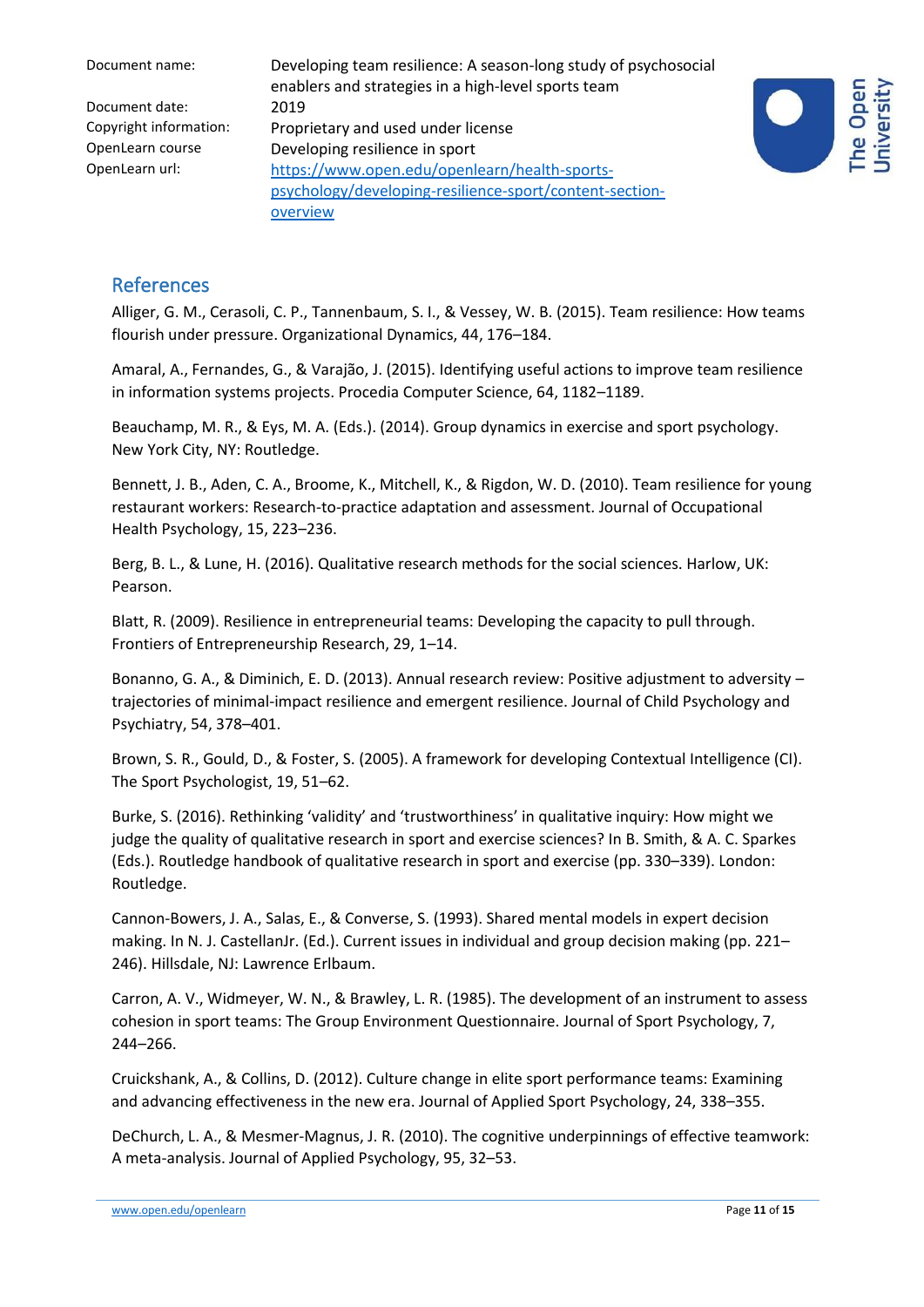Document name: Developing team resilience: A season-long study of psychosocial enablers and strategies in a high-level sports team Copyright information: Proprietary and used under license OpenLearn course Developing resilience in sport OpenLearn url: [https://www.open.edu/openlearn/health-sports](https://www.open.edu/openlearn/health-sports-psychology/developing-resilience-sport/content-section-overview)[psychology/developing-resilience-sport/content-section](https://www.open.edu/openlearn/health-sports-psychology/developing-resilience-sport/content-section-overview)[overview](https://www.open.edu/openlearn/health-sports-psychology/developing-resilience-sport/content-section-overview)



# **References**

Alliger, G. M., Cerasoli, C. P., Tannenbaum, S. I., & Vessey, W. B. (2015). Team resilience: How teams flourish under pressure. Organizational Dynamics, 44, 176–184.

Amaral, A., Fernandes, G., & Varajão, J. (2015). Identifying useful actions to improve team resilience in information systems projects. Procedia Computer Science, 64, 1182–1189.

Beauchamp, M. R., & Eys, M. A. (Eds.). (2014). Group dynamics in exercise and sport psychology. New York City, NY: Routledge.

Bennett, J. B., Aden, C. A., Broome, K., Mitchell, K., & Rigdon, W. D. (2010). Team resilience for young restaurant workers: Research-to-practice adaptation and assessment. Journal of Occupational Health Psychology, 15, 223–236.

Berg, B. L., & Lune, H. (2016). Qualitative research methods for the social sciences. Harlow, UK: Pearson.

Blatt, R. (2009). Resilience in entrepreneurial teams: Developing the capacity to pull through. Frontiers of Entrepreneurship Research, 29, 1–14.

Bonanno, G. A., & Diminich, E. D. (2013). Annual research review: Positive adjustment to adversity – trajectories of minimal-impact resilience and emergent resilience. Journal of Child Psychology and Psychiatry, 54, 378–401.

Brown, S. R., Gould, D., & Foster, S. (2005). A framework for developing Contextual Intelligence (CI). The Sport Psychologist, 19, 51–62.

Burke, S. (2016). Rethinking 'validity' and 'trustworthiness' in qualitative inquiry: How might we judge the quality of qualitative research in sport and exercise sciences? In B. Smith, & A. C. Sparkes (Eds.). Routledge handbook of qualitative research in sport and exercise (pp. 330–339). London: Routledge.

Cannon-Bowers, J. A., Salas, E., & Converse, S. (1993). Shared mental models in expert decision making. In N. J. CastellanJr. (Ed.). Current issues in individual and group decision making (pp. 221– 246). Hillsdale, NJ: Lawrence Erlbaum.

Carron, A. V., Widmeyer, W. N., & Brawley, L. R. (1985). The development of an instrument to assess cohesion in sport teams: The Group Environment Questionnaire. Journal of Sport Psychology, 7, 244–266.

Cruickshank, A., & Collins, D. (2012). Culture change in elite sport performance teams: Examining and advancing effectiveness in the new era. Journal of Applied Sport Psychology, 24, 338–355.

DeChurch, L. A., & Mesmer-Magnus, J. R. (2010). The cognitive underpinnings of effective teamwork: A meta-analysis. Journal of Applied Psychology, 95, 32–53.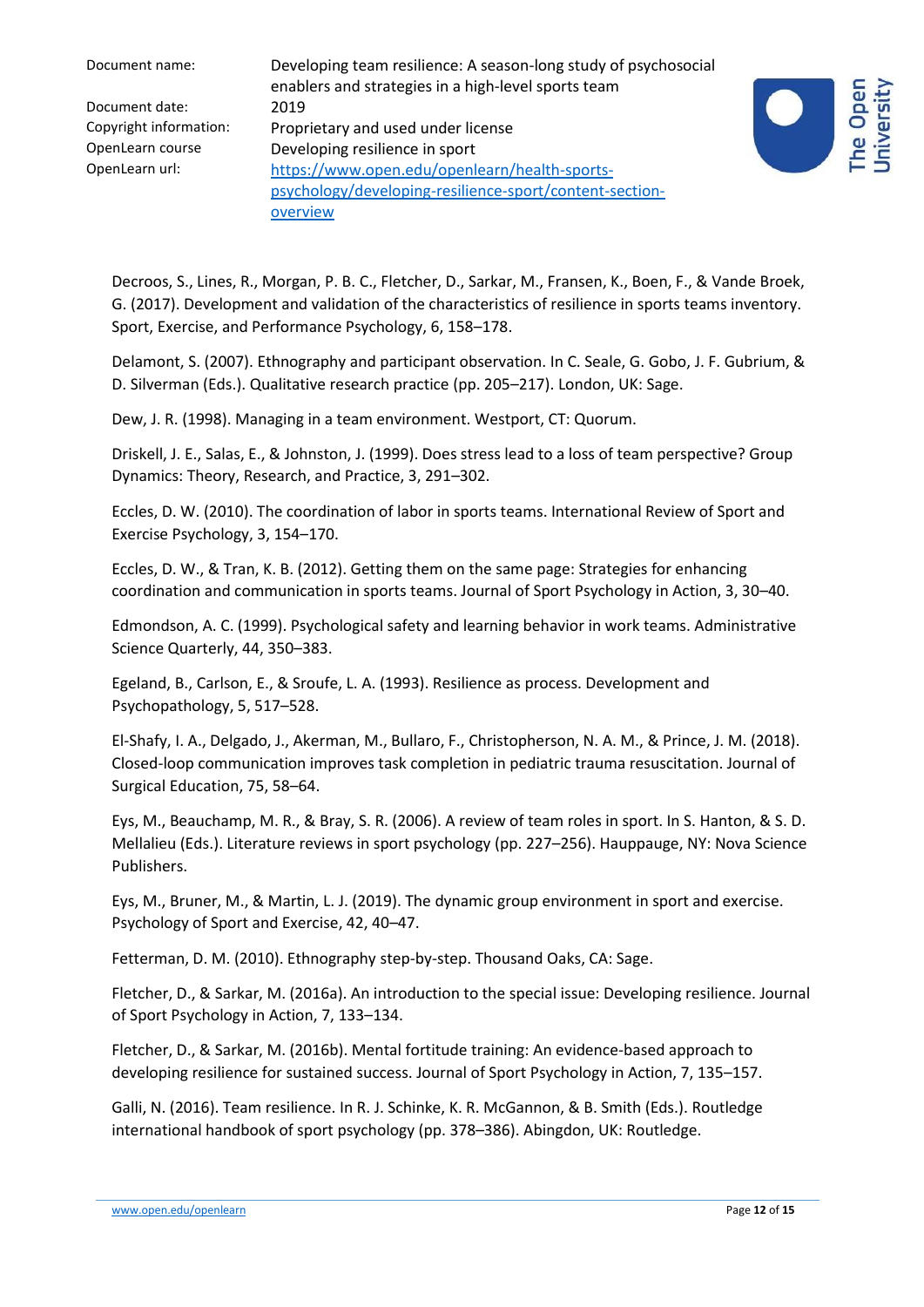Document name: Developing team resilience: A season-long study of psychosocial enablers and strategies in a high-level sports team Copyright information: Proprietary and used under license OpenLearn course Developing resilience in sport OpenLearn url: [https://www.open.edu/openlearn/health-sports](https://www.open.edu/openlearn/health-sports-psychology/developing-resilience-sport/content-section-overview)[psychology/developing-resilience-sport/content-section](https://www.open.edu/openlearn/health-sports-psychology/developing-resilience-sport/content-section-overview)[overview](https://www.open.edu/openlearn/health-sports-psychology/developing-resilience-sport/content-section-overview)



Decroos, S., Lines, R., Morgan, P. B. C., Fletcher, D., Sarkar, M., Fransen, K., Boen, F., & Vande Broek, G. (2017). Development and validation of the characteristics of resilience in sports teams inventory. Sport, Exercise, and Performance Psychology, 6, 158–178.

Delamont, S. (2007). Ethnography and participant observation. In C. Seale, G. Gobo, J. F. Gubrium, & D. Silverman (Eds.). Qualitative research practice (pp. 205–217). London, UK: Sage.

Dew, J. R. (1998). Managing in a team environment. Westport, CT: Quorum.

Driskell, J. E., Salas, E., & Johnston, J. (1999). Does stress lead to a loss of team perspective? Group Dynamics: Theory, Research, and Practice, 3, 291–302.

Eccles, D. W. (2010). The coordination of labor in sports teams. International Review of Sport and Exercise Psychology, 3, 154–170.

Eccles, D. W., & Tran, K. B. (2012). Getting them on the same page: Strategies for enhancing coordination and communication in sports teams. Journal of Sport Psychology in Action, 3, 30–40.

Edmondson, A. C. (1999). Psychological safety and learning behavior in work teams. Administrative Science Quarterly, 44, 350–383.

Egeland, B., Carlson, E., & Sroufe, L. A. (1993). Resilience as process. Development and Psychopathology, 5, 517–528.

El-Shafy, I. A., Delgado, J., Akerman, M., Bullaro, F., Christopherson, N. A. M., & Prince, J. M. (2018). Closed-loop communication improves task completion in pediatric trauma resuscitation. Journal of Surgical Education, 75, 58–64.

Eys, M., Beauchamp, M. R., & Bray, S. R. (2006). A review of team roles in sport. In S. Hanton, & S. D. Mellalieu (Eds.). Literature reviews in sport psychology (pp. 227–256). Hauppauge, NY: Nova Science Publishers.

Eys, M., Bruner, M., & Martin, L. J. (2019). The dynamic group environment in sport and exercise. Psychology of Sport and Exercise, 42, 40–47.

Fetterman, D. M. (2010). Ethnography step-by-step. Thousand Oaks, CA: Sage.

Fletcher, D., & Sarkar, M. (2016a). An introduction to the special issue: Developing resilience. Journal of Sport Psychology in Action, 7, 133–134.

Fletcher, D., & Sarkar, M. (2016b). Mental fortitude training: An evidence-based approach to developing resilience for sustained success. Journal of Sport Psychology in Action, 7, 135–157.

Galli, N. (2016). Team resilience. In R. J. Schinke, K. R. McGannon, & B. Smith (Eds.). Routledge international handbook of sport psychology (pp. 378–386). Abingdon, UK: Routledge.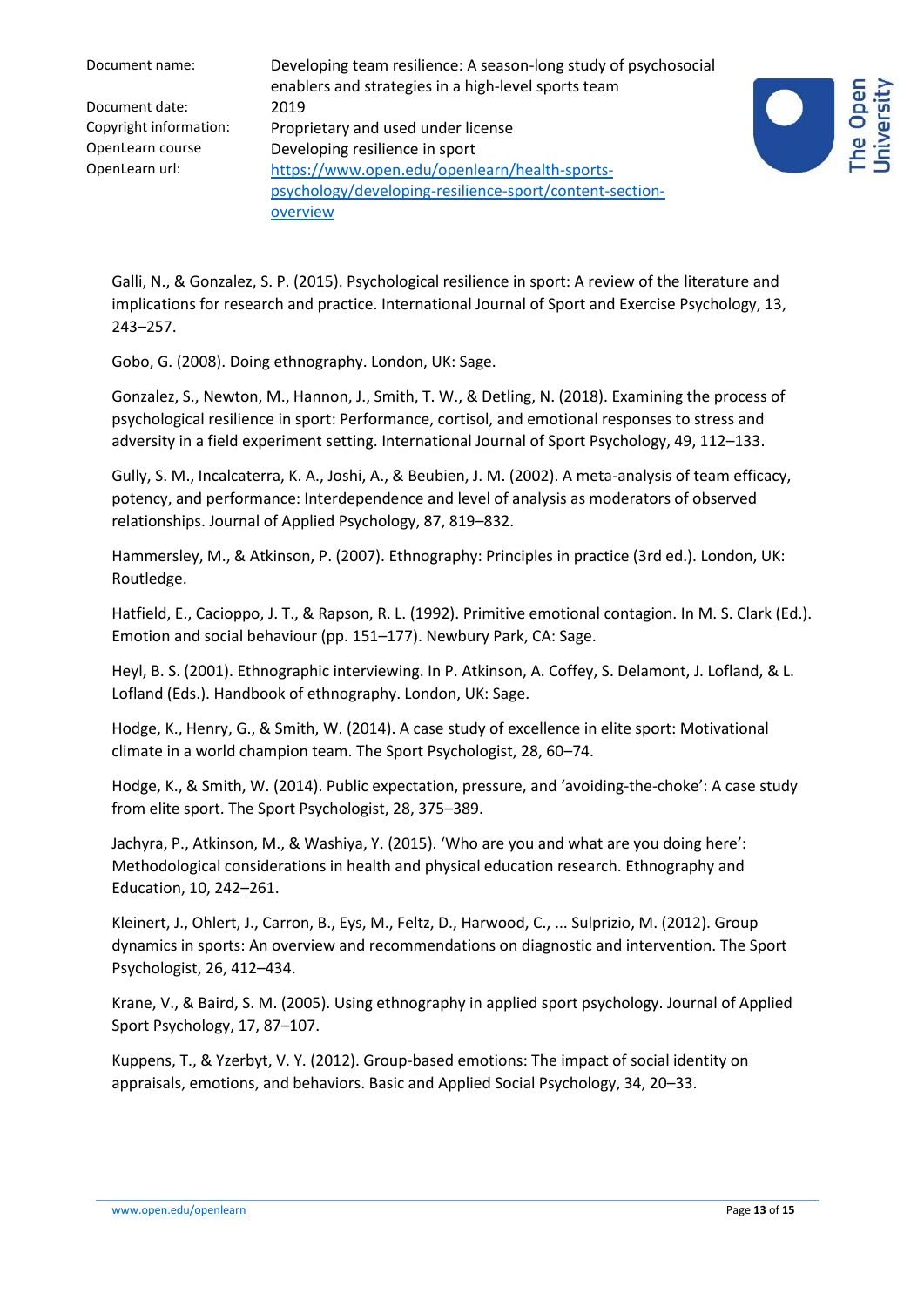Document name: Developing team resilience: A season-long study of psychosocial enablers and strategies in a high-level sports team Copyright information: Proprietary and used under license OpenLearn course Developing resilience in sport OpenLearn url: [https://www.open.edu/openlearn/health-sports](https://www.open.edu/openlearn/health-sports-psychology/developing-resilience-sport/content-section-overview)[psychology/developing-resilience-sport/content-section](https://www.open.edu/openlearn/health-sports-psychology/developing-resilience-sport/content-section-overview)[overview](https://www.open.edu/openlearn/health-sports-psychology/developing-resilience-sport/content-section-overview)



Galli, N., & Gonzalez, S. P. (2015). Psychological resilience in sport: A review of the literature and implications for research and practice. International Journal of Sport and Exercise Psychology, 13, 243–257.

Gobo, G. (2008). Doing ethnography. London, UK: Sage.

Gonzalez, S., Newton, M., Hannon, J., Smith, T. W., & Detling, N. (2018). Examining the process of psychological resilience in sport: Performance, cortisol, and emotional responses to stress and adversity in a field experiment setting. International Journal of Sport Psychology, 49, 112–133.

Gully, S. M., Incalcaterra, K. A., Joshi, A., & Beubien, J. M. (2002). A meta-analysis of team efficacy, potency, and performance: Interdependence and level of analysis as moderators of observed relationships. Journal of Applied Psychology, 87, 819–832.

Hammersley, M., & Atkinson, P. (2007). Ethnography: Principles in practice (3rd ed.). London, UK: Routledge.

Hatfield, E., Cacioppo, J. T., & Rapson, R. L. (1992). Primitive emotional contagion. In M. S. Clark (Ed.). Emotion and social behaviour (pp. 151–177). Newbury Park, CA: Sage.

Heyl, B. S. (2001). Ethnographic interviewing. In P. Atkinson, A. Coffey, S. Delamont, J. Lofland, & L. Lofland (Eds.). Handbook of ethnography. London, UK: Sage.

Hodge, K., Henry, G., & Smith, W. (2014). A case study of excellence in elite sport: Motivational climate in a world champion team. The Sport Psychologist, 28, 60–74.

Hodge, K., & Smith, W. (2014). Public expectation, pressure, and 'avoiding-the-choke': A case study from elite sport. The Sport Psychologist, 28, 375–389.

Jachyra, P., Atkinson, M., & Washiya, Y. (2015). 'Who are you and what are you doing here': Methodological considerations in health and physical education research. Ethnography and Education, 10, 242–261.

Kleinert, J., Ohlert, J., Carron, B., Eys, M., Feltz, D., Harwood, C., ... Sulprizio, M. (2012). Group dynamics in sports: An overview and recommendations on diagnostic and intervention. The Sport Psychologist, 26, 412–434.

Krane, V., & Baird, S. M. (2005). Using ethnography in applied sport psychology. Journal of Applied Sport Psychology, 17, 87–107.

Kuppens, T., & Yzerbyt, V. Y. (2012). Group-based emotions: The impact of social identity on appraisals, emotions, and behaviors. Basic and Applied Social Psychology, 34, 20–33.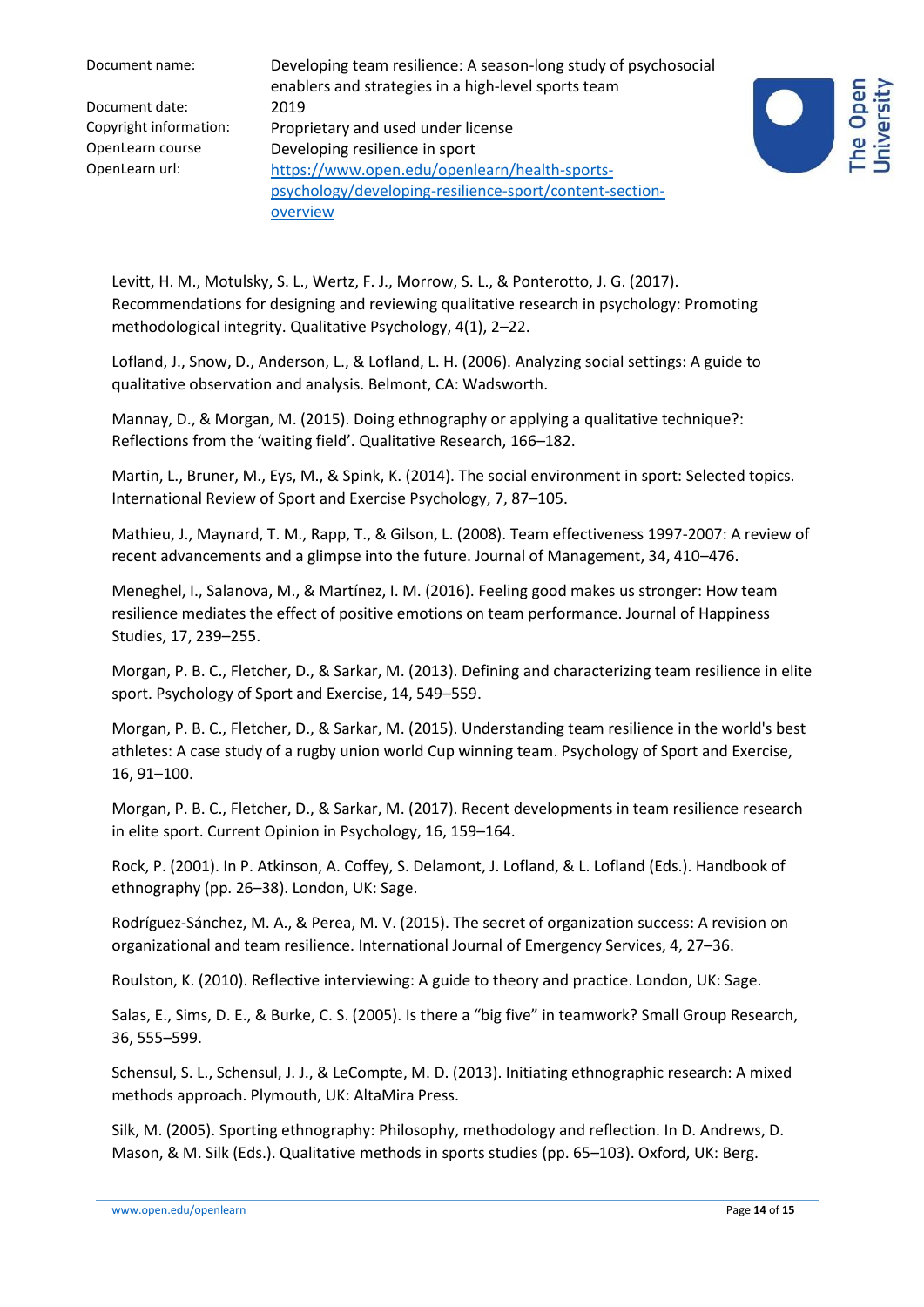Document name: Developing team resilience: A season-long study of psychosocial enablers and strategies in a high-level sports team Copyright information: Proprietary and used under license OpenLearn course Developing resilience in sport OpenLearn url: [https://www.open.edu/openlearn/health-sports](https://www.open.edu/openlearn/health-sports-psychology/developing-resilience-sport/content-section-overview)[psychology/developing-resilience-sport/content-section](https://www.open.edu/openlearn/health-sports-psychology/developing-resilience-sport/content-section-overview)[overview](https://www.open.edu/openlearn/health-sports-psychology/developing-resilience-sport/content-section-overview)



Levitt, H. M., Motulsky, S. L., Wertz, F. J., Morrow, S. L., & Ponterotto, J. G. (2017). Recommendations for designing and reviewing qualitative research in psychology: Promoting methodological integrity. Qualitative Psychology, 4(1), 2–22.

Lofland, J., Snow, D., Anderson, L., & Lofland, L. H. (2006). Analyzing social settings: A guide to qualitative observation and analysis. Belmont, CA: Wadsworth.

Mannay, D., & Morgan, M. (2015). Doing ethnography or applying a qualitative technique?: Reflections from the 'waiting field'. Qualitative Research, 166–182.

Martin, L., Bruner, M., Eys, M., & Spink, K. (2014). The social environment in sport: Selected topics. International Review of Sport and Exercise Psychology, 7, 87–105.

Mathieu, J., Maynard, T. M., Rapp, T., & Gilson, L. (2008). Team effectiveness 1997-2007: A review of recent advancements and a glimpse into the future. Journal of Management, 34, 410–476.

Meneghel, I., Salanova, M., & Martínez, I. M. (2016). Feeling good makes us stronger: How team resilience mediates the effect of positive emotions on team performance. Journal of Happiness Studies, 17, 239–255.

Morgan, P. B. C., Fletcher, D., & Sarkar, M. (2013). Defining and characterizing team resilience in elite sport. Psychology of Sport and Exercise, 14, 549–559.

Morgan, P. B. C., Fletcher, D., & Sarkar, M. (2015). Understanding team resilience in the world's best athletes: A case study of a rugby union world Cup winning team. Psychology of Sport and Exercise, 16, 91–100.

Morgan, P. B. C., Fletcher, D., & Sarkar, M. (2017). Recent developments in team resilience research in elite sport. Current Opinion in Psychology, 16, 159–164.

Rock, P. (2001). In P. Atkinson, A. Coffey, S. Delamont, J. Lofland, & L. Lofland (Eds.). Handbook of ethnography (pp. 26–38). London, UK: Sage.

Rodríguez-Sánchez, M. A., & Perea, M. V. (2015). The secret of organization success: A revision on organizational and team resilience. International Journal of Emergency Services, 4, 27–36.

Roulston, K. (2010). Reflective interviewing: A guide to theory and practice. London, UK: Sage.

Salas, E., Sims, D. E., & Burke, C. S. (2005). Is there a "big five" in teamwork? Small Group Research, 36, 555–599.

Schensul, S. L., Schensul, J. J., & LeCompte, M. D. (2013). Initiating ethnographic research: A mixed methods approach. Plymouth, UK: AltaMira Press.

Silk, M. (2005). Sporting ethnography: Philosophy, methodology and reflection. In D. Andrews, D. Mason, & M. Silk (Eds.). Qualitative methods in sports studies (pp. 65–103). Oxford, UK: Berg.